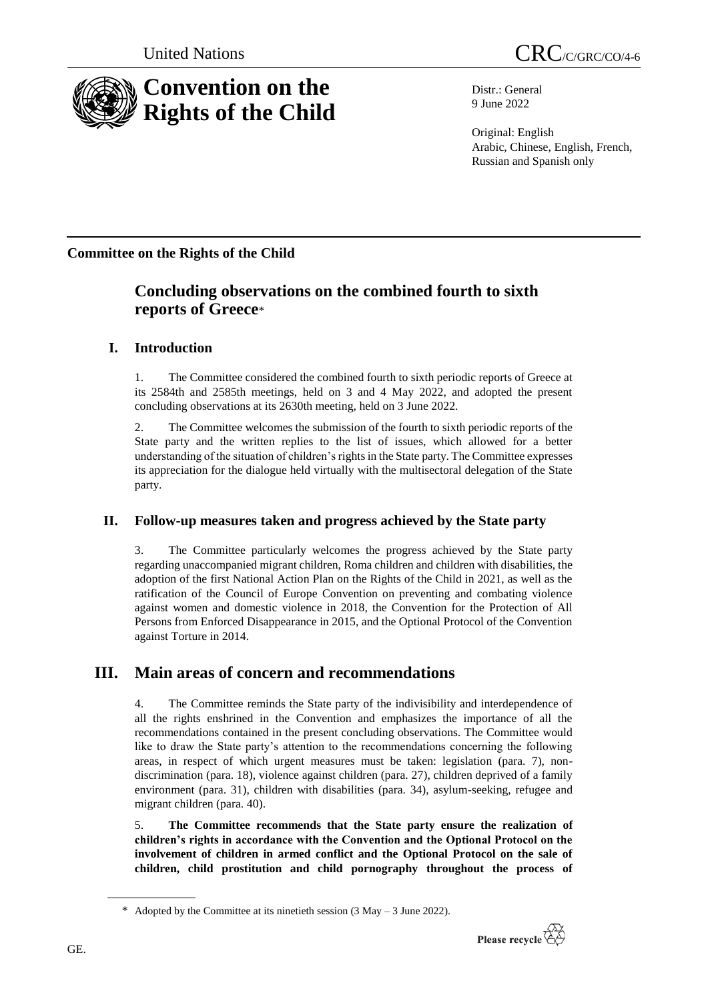

Distr.: General 9 June 2022

Original: English Arabic, Chinese, English, French, Russian and Spanish only

## **Committee on the Rights of the Child**

# **Concluding observations on the combined fourth to sixth reports of Greece**\*

## **I. Introduction**

1. The Committee considered the combined fourth to sixth periodic reports of Greece at its 2584th and 2585th meetings, held on 3 and 4 May 2022, and adopted the present concluding observations at its 2630th meeting, held on 3 June 2022.

2. The Committee welcomes the submission of the fourth to sixth periodic reports of the State party and the written replies to the list of issues, which allowed for a better understanding of the situation of children's rights in the State party. The Committee expresses its appreciation for the dialogue held virtually with the multisectoral delegation of the State party.

## **II. Follow-up measures taken and progress achieved by the State party**

3. The Committee particularly welcomes the progress achieved by the State party regarding unaccompanied migrant children, Roma children and children with disabilities, the adoption of the first National Action Plan on the Rights of the Child in 2021, as well as the ratification of the Council of Europe Convention on preventing and combating violence against women and domestic violence in 2018, the Convention for the Protection of All Persons from Enforced Disappearance in 2015, and the Optional Protocol of the Convention against Torture in 2014.

# **III. Main areas of concern and recommendations**

4. The Committee reminds the State party of the indivisibility and interdependence of all the rights enshrined in the Convention and emphasizes the importance of all the recommendations contained in the present concluding observations. The Committee would like to draw the State party's attention to the recommendations concerning the following areas, in respect of which urgent measures must be taken: legislation (para. 7), nondiscrimination (para. 18), violence against children (para. 27), children deprived of a family environment (para. 31), children with disabilities (para. 34), asylum-seeking, refugee and migrant children (para. 40).

5. **The Committee recommends that the State party ensure the realization of children's rights in accordance with the Convention and the Optional Protocol on the involvement of children in armed conflict and the Optional Protocol on the sale of children, child prostitution and child pornography throughout the process of** 

<sup>\*</sup> Adopted by the Committee at its ninetieth session (3 May – 3 June 2022).

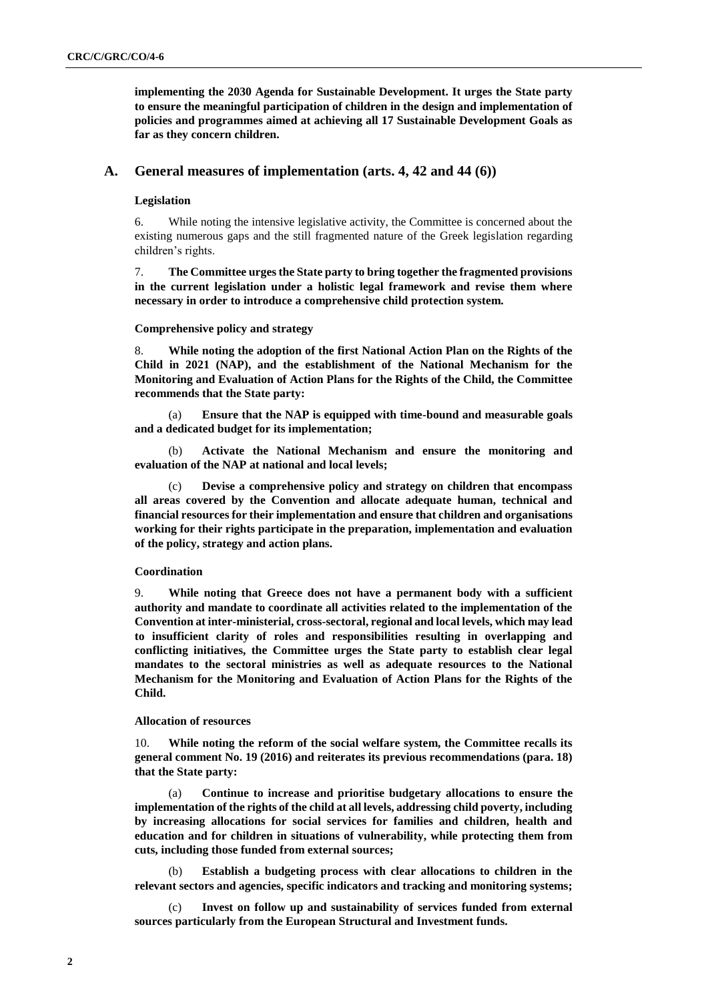**implementing the 2030 Agenda for Sustainable Development. It urges the State party to ensure the meaningful participation of children in the design and implementation of policies and programmes aimed at achieving all 17 Sustainable Development Goals as far as they concern children.**

### **A. General measures of implementation (arts. 4, 42 and 44 (6))**

### **Legislation**

6. While noting the intensive legislative activity, the Committee is concerned about the existing numerous gaps and the still fragmented nature of the Greek legislation regarding children's rights.

7. **The Committee urges the State party to bring together the fragmented provisions in the current legislation under a holistic legal framework and revise them where necessary in order to introduce a comprehensive child protection system.**

#### **Comprehensive policy and strategy**

8. **While noting the adoption of the first National Action Plan on the Rights of the Child in 2021 (NAP), and the establishment of the National Mechanism for the Monitoring and Evaluation of Action Plans for the Rights of the Child, the Committee recommends that the State party:**

(a) **Ensure that the NAP is equipped with time-bound and measurable goals and a dedicated budget for its implementation;**

(b) **Activate the National Mechanism and ensure the monitoring and evaluation of the NAP at national and local levels;**

(c) **Devise a comprehensive policy and strategy on children that encompass all areas covered by the Convention and allocate adequate human, technical and financial resources for their implementation and ensure that children and organisations working for their rights participate in the preparation, implementation and evaluation of the policy, strategy and action plans.**

### **Coordination**

9. **While noting that Greece does not have a permanent body with a sufficient authority and mandate to coordinate all activities related to the implementation of the Convention at inter-ministerial, cross-sectoral, regional and local levels, which may lead to insufficient clarity of roles and responsibilities resulting in overlapping and conflicting initiatives, the Committee urges the State party to establish clear legal mandates to the sectoral ministries as well as adequate resources to the National Mechanism for the Monitoring and Evaluation of Action Plans for the Rights of the Child.**

#### **Allocation of resources**

10. **While noting the reform of the social welfare system, the Committee recalls its general comment No. 19 (2016) and reiterates its previous recommendations (para. 18) that the State party:**

Continue to increase and prioritise budgetary allocations to ensure the **implementation of the rights of the child at all levels, addressing child poverty, including by increasing allocations for social services for families and children, health and education and for children in situations of vulnerability, while protecting them from cuts, including those funded from external sources;**

(b) **Establish a budgeting process with clear allocations to children in the relevant sectors and agencies, specific indicators and tracking and monitoring systems;**

(c) **Invest on follow up and sustainability of services funded from external sources particularly from the European Structural and Investment funds.**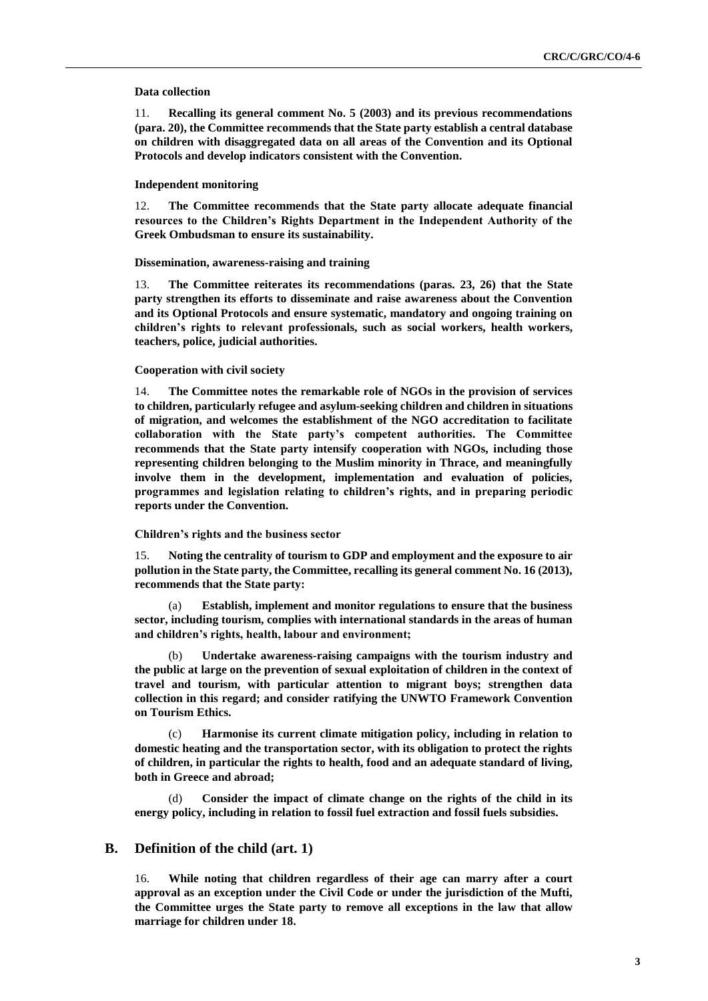#### **Data collection**

11. **Recalling its general comment No. 5 (2003) and its previous recommendations (para. 20), the Committee recommends that the State party establish a central database on children with disaggregated data on all areas of the Convention and its Optional Protocols and develop indicators consistent with the Convention.**

#### **Independent monitoring**

12. **The Committee recommends that the State party allocate adequate financial resources to the Children's Rights Department in the Independent Authority of the Greek Ombudsman to ensure its sustainability.**

#### **Dissemination, awareness-raising and training**

13. **The Committee reiterates its recommendations (paras. 23, 26) that the State party strengthen its efforts to disseminate and raise awareness about the Convention and its Optional Protocols and ensure systematic, mandatory and ongoing training on children's rights to relevant professionals, such as social workers, health workers, teachers, police, judicial authorities.**

#### **Cooperation with civil society**

14. **The Committee notes the remarkable role of NGOs in the provision of services to children, particularly refugee and asylum-seeking children and children in situations of migration, and welcomes the establishment of the NGO accreditation to facilitate collaboration with the State party's competent authorities. The Committee recommends that the State party intensify cooperation with NGOs, including those representing children belonging to the Muslim minority in Thrace, and meaningfully involve them in the development, implementation and evaluation of policies, programmes and legislation relating to children's rights, and in preparing periodic reports under the Convention.**

#### **Children's rights and the business sector**

15. **Noting the centrality of tourism to GDP and employment and the exposure to air pollution in the State party, the Committee, recalling its general comment No. 16 (2013), recommends that the State party:**

(a) **Establish, implement and monitor regulations to ensure that the business sector, including tourism, complies with international standards in the areas of human and children's rights, health, labour and environment;**

(b) **Undertake awareness-raising campaigns with the tourism industry and the public at large on the prevention of sexual exploitation of children in the context of travel and tourism, with particular attention to migrant boys; strengthen data collection in this regard; and consider ratifying the UNWTO Framework Convention on Tourism Ethics.**

(c) **Harmonise its current climate mitigation policy, including in relation to domestic heating and the transportation sector, with its obligation to protect the rights of children, in particular the rights to health, food and an adequate standard of living, both in Greece and abroad;**

Consider the impact of climate change on the rights of the child in its **energy policy, including in relation to fossil fuel extraction and fossil fuels subsidies.**

#### **B. Definition of the child (art. 1)**

16. **While noting that children regardless of their age can marry after a court approval as an exception under the Civil Code or under the jurisdiction of the Mufti, the Committee urges the State party to remove all exceptions in the law that allow marriage for children under 18.**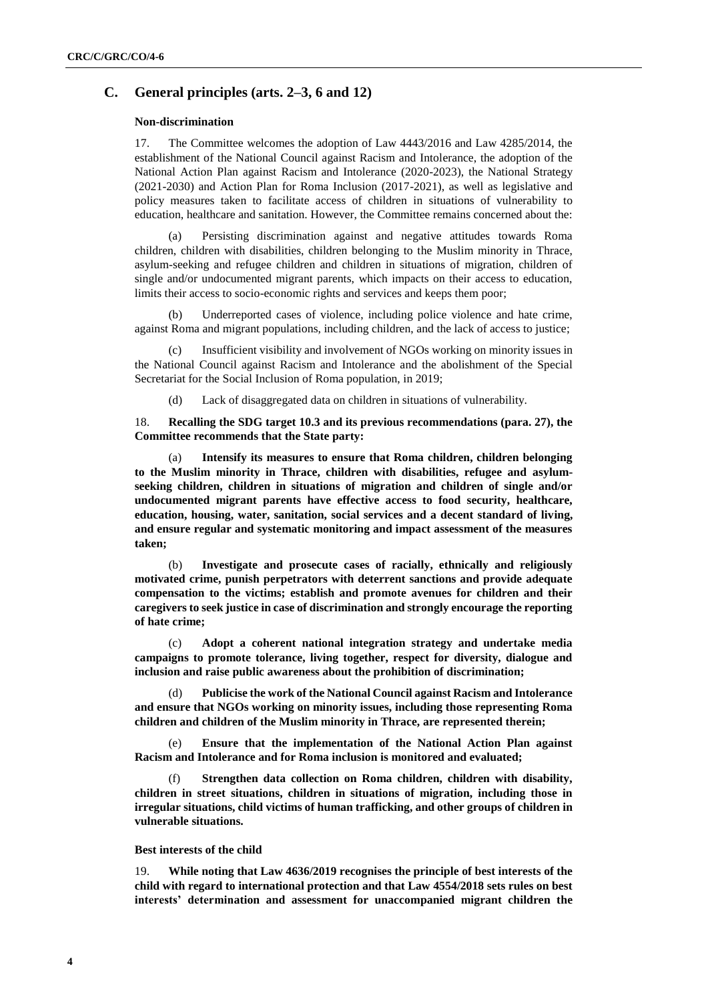## **C. General principles (arts. 2–3, 6 and 12)**

#### **Non-discrimination**

17. The Committee welcomes the adoption of Law 4443/2016 and Law 4285/2014, the establishment of the National Council against Racism and Intolerance, the adoption of the National Action Plan against Racism and Intolerance (2020-2023), the National Strategy (2021-2030) and Action Plan for Roma Inclusion (2017-2021), as well as legislative and policy measures taken to facilitate access of children in situations of vulnerability to education, healthcare and sanitation. However, the Committee remains concerned about the:

Persisting discrimination against and negative attitudes towards Roma children, children with disabilities, children belonging to the Muslim minority in Thrace, asylum-seeking and refugee children and children in situations of migration, children of single and/or undocumented migrant parents, which impacts on their access to education, limits their access to socio-economic rights and services and keeps them poor;

(b) Underreported cases of violence, including police violence and hate crime, against Roma and migrant populations, including children, and the lack of access to justice;

(c) Insufficient visibility and involvement of NGOs working on minority issues in the National Council against Racism and Intolerance and the abolishment of the Special Secretariat for the Social Inclusion of Roma population, in 2019;

(d) Lack of disaggregated data on children in situations of vulnerability.

18. **Recalling the SDG target 10.3 and its previous recommendations (para. 27), the Committee recommends that the State party:**

(a) **Intensify its measures to ensure that Roma children, children belonging to the Muslim minority in Thrace, children with disabilities, refugee and asylumseeking children, children in situations of migration and children of single and/or undocumented migrant parents have effective access to food security, healthcare, education, housing, water, sanitation, social services and a decent standard of living, and ensure regular and systematic monitoring and impact assessment of the measures taken;**

(b) **Investigate and prosecute cases of racially, ethnically and religiously motivated crime, punish perpetrators with deterrent sanctions and provide adequate compensation to the victims; establish and promote avenues for children and their caregivers to seek justice in case of discrimination and strongly encourage the reporting of hate crime;**

(c) **Adopt a coherent national integration strategy and undertake media campaigns to promote tolerance, living together, respect for diversity, dialogue and inclusion and raise public awareness about the prohibition of discrimination;**

(d) **Publicise the work of the National Council against Racism and Intolerance and ensure that NGOs working on minority issues, including those representing Roma children and children of the Muslim minority in Thrace, are represented therein;**

(e) **Ensure that the implementation of the National Action Plan against Racism and Intolerance and for Roma inclusion is monitored and evaluated;**

(f) **Strengthen data collection on Roma children, children with disability, children in street situations, children in situations of migration, including those in irregular situations, child victims of human trafficking, and other groups of children in vulnerable situations.**

#### **Best interests of the child**

19. **While noting that Law 4636/2019 recognises the principle of best interests of the child with regard to international protection and that Law 4554/2018 sets rules on best interests' determination and assessment for unaccompanied migrant children the**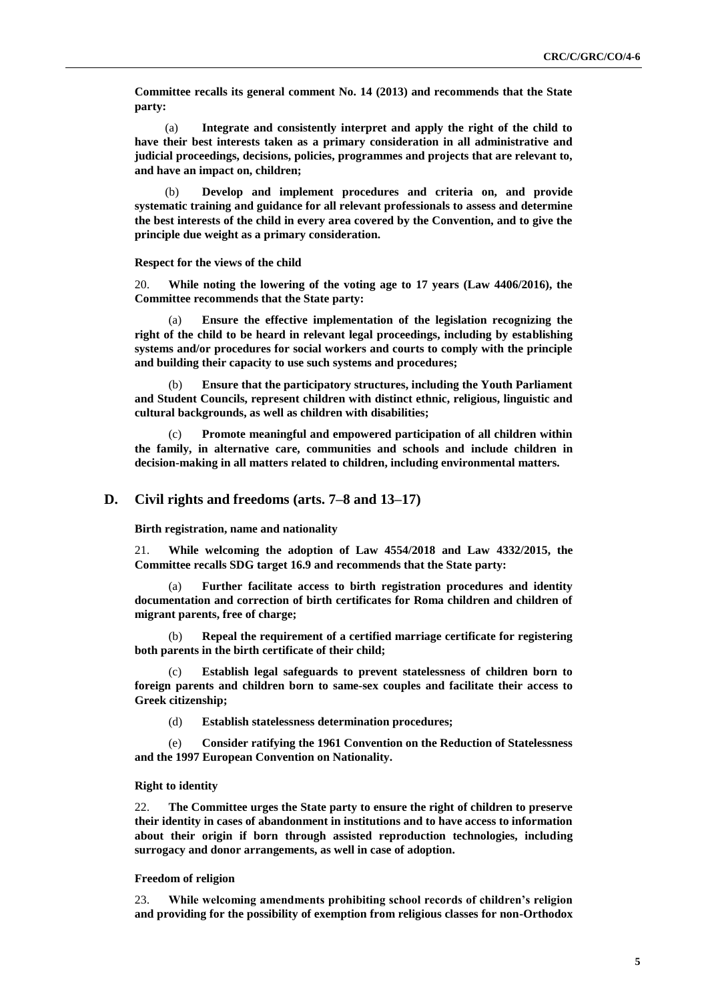**Committee recalls its general comment No. 14 (2013) and recommends that the State party:**

(a) **Integrate and consistently interpret and apply the right of the child to have their best interests taken as a primary consideration in all administrative and judicial proceedings, decisions, policies, programmes and projects that are relevant to, and have an impact on, children;**

(b) **Develop and implement procedures and criteria on, and provide systematic training and guidance for all relevant professionals to assess and determine the best interests of the child in every area covered by the Convention, and to give the principle due weight as a primary consideration.**

**Respect for the views of the child**

20. **While noting the lowering of the voting age to 17 years (Law 4406/2016), the Committee recommends that the State party:**

(a) **Ensure the effective implementation of the legislation recognizing the right of the child to be heard in relevant legal proceedings, including by establishing systems and/or procedures for social workers and courts to comply with the principle and building their capacity to use such systems and procedures;**

(b) **Ensure that the participatory structures, including the Youth Parliament and Student Councils, represent children with distinct ethnic, religious, linguistic and cultural backgrounds, as well as children with disabilities;**

(c) **Promote meaningful and empowered participation of all children within the family, in alternative care, communities and schools and include children in decision-making in all matters related to children, including environmental matters.**

#### **D. Civil rights and freedoms (arts. 7–8 and 13–17)**

**Birth registration, name and nationality**

21. **While welcoming the adoption of Law 4554/2018 and Law 4332/2015, the Committee recalls SDG target 16.9 and recommends that the State party:**

Further facilitate access to birth registration procedures and identity **documentation and correction of birth certificates for Roma children and children of migrant parents, free of charge;**

(b) **Repeal the requirement of a certified marriage certificate for registering both parents in the birth certificate of their child;**

(c) **Establish legal safeguards to prevent statelessness of children born to foreign parents and children born to same-sex couples and facilitate their access to Greek citizenship;**

(d) **Establish statelessness determination procedures;**

Consider ratifying the 1961 Convention on the Reduction of Statelessness **and the 1997 European Convention on Nationality.**

#### **Right to identity**

22. **The Committee urges the State party to ensure the right of children to preserve their identity in cases of abandonment in institutions and to have access to information about their origin if born through assisted reproduction technologies, including surrogacy and donor arrangements, as well in case of adoption.**

#### **Freedom of religion**

23. **While welcoming amendments prohibiting school records of children's religion and providing for the possibility of exemption from religious classes for non-Orthodox**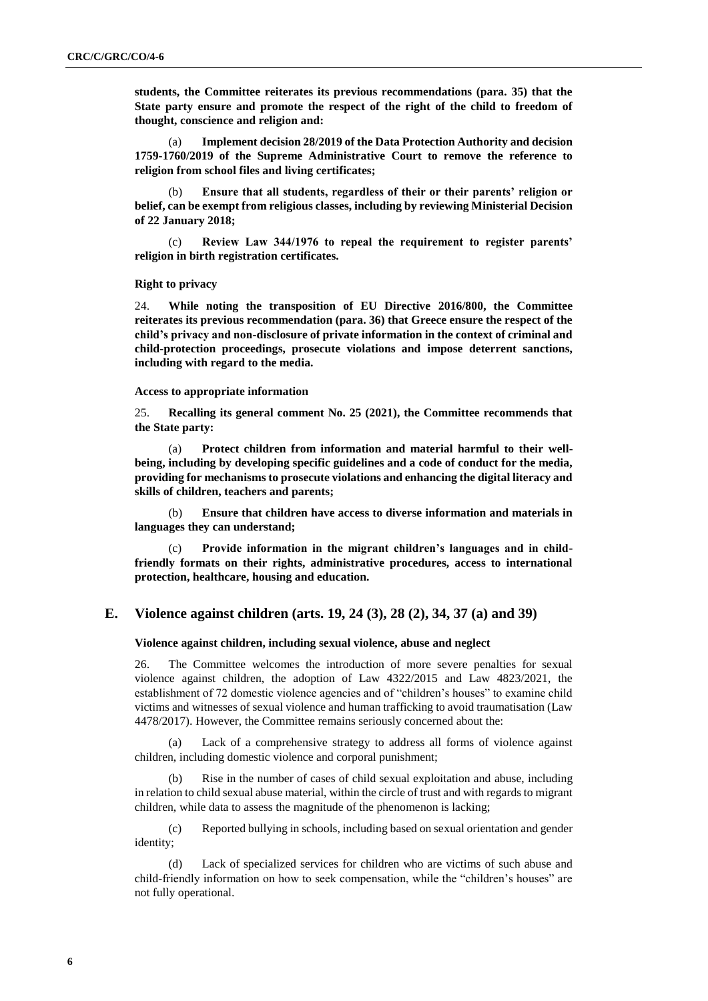**students, the Committee reiterates its previous recommendations (para. 35) that the State party ensure and promote the respect of the right of the child to freedom of thought, conscience and religion and:**

(a) **Implement decision 28/2019 of the Data Protection Authority and decision 1759-1760/2019 of the Supreme Administrative Court to remove the reference to religion from school files and living certificates;**

(b) **Ensure that all students, regardless of their or their parents' religion or belief, can be exempt from religious classes, including by reviewing Ministerial Decision of 22 January 2018;**

(c) **Review Law 344/1976 to repeal the requirement to register parents' religion in birth registration certificates.**

#### **Right to privacy**

24. **While noting the transposition of EU Directive 2016/800, the Committee reiterates its previous recommendation (para. 36) that Greece ensure the respect of the child's privacy and non-disclosure of private information in the context of criminal and child-protection proceedings, prosecute violations and impose deterrent sanctions, including with regard to the media.**

#### **Access to appropriate information**

25. **Recalling its general comment No. 25 (2021), the Committee recommends that the State party:**

(a) **Protect children from information and material harmful to their wellbeing, including by developing specific guidelines and a code of conduct for the media, providing for mechanisms to prosecute violations and enhancing the digital literacy and skills of children, teachers and parents;**

(b) **Ensure that children have access to diverse information and materials in languages they can understand;**

(c) **Provide information in the migrant children's languages and in childfriendly formats on their rights, administrative procedures, access to international protection, healthcare, housing and education.**

## **E. Violence against children (arts. 19, 24 (3), 28 (2), 34, 37 (a) and 39)**

#### **Violence against children, including sexual violence, abuse and neglect**

26. The Committee welcomes the introduction of more severe penalties for sexual violence against children, the adoption of Law 4322/2015 and Law 4823/2021, the establishment of 72 domestic violence agencies and of "children's houses" to examine child victims and witnesses of sexual violence and human trafficking to avoid traumatisation (Law 4478/2017). However, the Committee remains seriously concerned about the:

Lack of a comprehensive strategy to address all forms of violence against children, including domestic violence and corporal punishment;

(b) Rise in the number of cases of child sexual exploitation and abuse, including in relation to child sexual abuse material, within the circle of trust and with regards to migrant children, while data to assess the magnitude of the phenomenon is lacking;

(c) Reported bullying in schools, including based on sexual orientation and gender identity;

(d) Lack of specialized services for children who are victims of such abuse and child-friendly information on how to seek compensation, while the "children's houses" are not fully operational.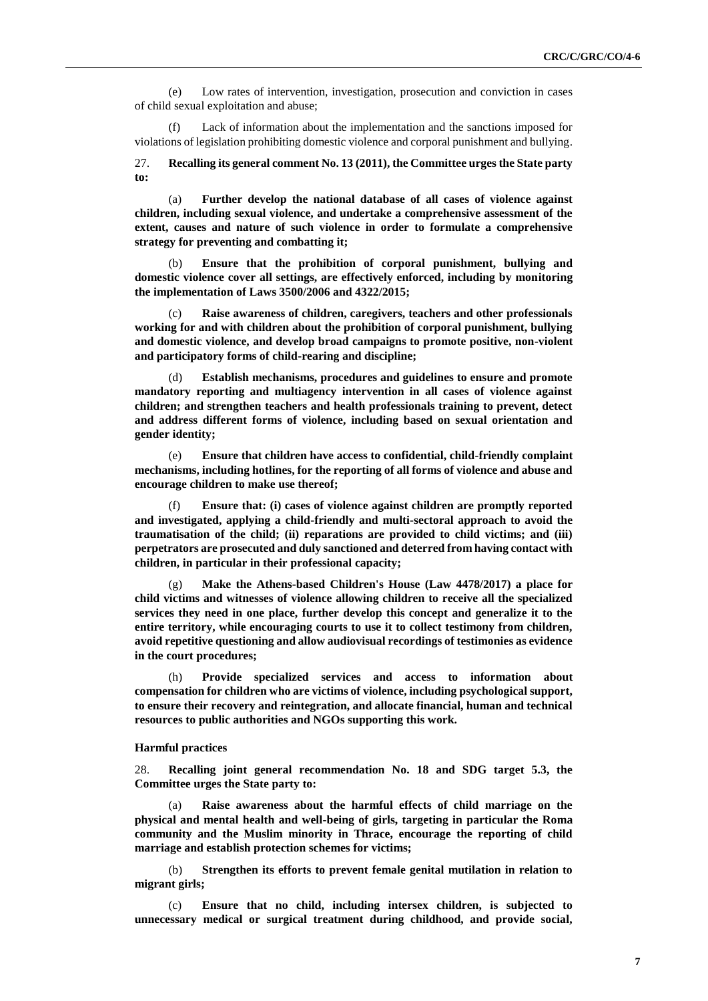(e) Low rates of intervention, investigation, prosecution and conviction in cases of child sexual exploitation and abuse;

(f) Lack of information about the implementation and the sanctions imposed for violations of legislation prohibiting domestic violence and corporal punishment and bullying.

27. **Recalling its general comment No. 13 (2011), the Committee urges the State party to:**

(a) **Further develop the national database of all cases of violence against children, including sexual violence, and undertake a comprehensive assessment of the extent, causes and nature of such violence in order to formulate a comprehensive strategy for preventing and combatting it;**

(b) **Ensure that the prohibition of corporal punishment, bullying and domestic violence cover all settings, are effectively enforced, including by monitoring the implementation of Laws 3500/2006 and 4322/2015;**

(c) **Raise awareness of children, caregivers, teachers and other professionals working for and with children about the prohibition of corporal punishment, bullying and domestic violence, and develop broad campaigns to promote positive, non-violent and participatory forms of child-rearing and discipline;**

(d) **Establish mechanisms, procedures and guidelines to ensure and promote mandatory reporting and multiagency intervention in all cases of violence against children; and strengthen teachers and health professionals training to prevent, detect and address different forms of violence, including based on sexual orientation and gender identity;**

(e) **Ensure that children have access to confidential, child-friendly complaint mechanisms, including hotlines, for the reporting of all forms of violence and abuse and encourage children to make use thereof;**

(f) **Ensure that: (i) cases of violence against children are promptly reported and investigated, applying a child-friendly and multi-sectoral approach to avoid the traumatisation of the child; (ii) reparations are provided to child victims; and (iii) perpetrators are prosecuted and duly sanctioned and deterred from having contact with children, in particular in their professional capacity;**

(g) **Make the Athens-based Children's House (Law 4478/2017) a place for child victims and witnesses of violence allowing children to receive all the specialized services they need in one place, further develop this concept and generalize it to the entire territory, while encouraging courts to use it to collect testimony from children, avoid repetitive questioning and allow audiovisual recordings of testimonies as evidence in the court procedures;**

(h) **Provide specialized services and access to information about compensation for children who are victims of violence, including psychological support, to ensure their recovery and reintegration, and allocate financial, human and technical resources to public authorities and NGOs supporting this work.**

#### **Harmful practices**

28. **Recalling joint general recommendation No. 18 and SDG target 5.3, the Committee urges the State party to:**

(a) **Raise awareness about the harmful effects of child marriage on the physical and mental health and well-being of girls, targeting in particular the Roma community and the Muslim minority in Thrace, encourage the reporting of child marriage and establish protection schemes for victims;**

(b) **Strengthen its efforts to prevent female genital mutilation in relation to migrant girls;**

(c) **Ensure that no child, including intersex children, is subjected to unnecessary medical or surgical treatment during childhood, and provide social,**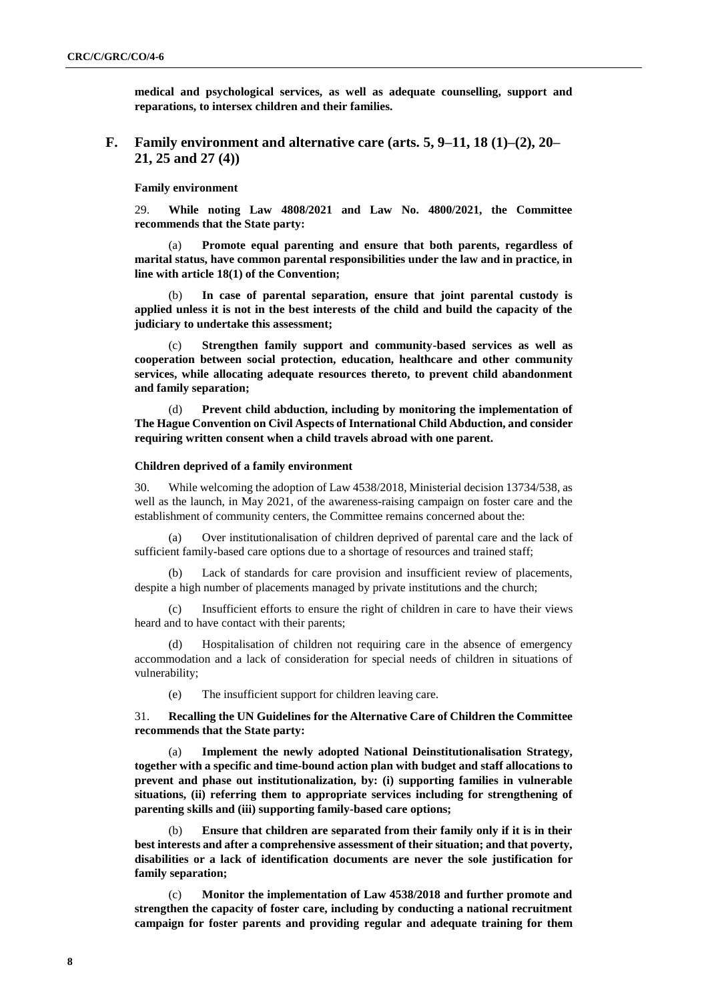**medical and psychological services, as well as adequate counselling, support and reparations, to intersex children and their families.**

## **F. Family environment and alternative care (arts. 5, 9–11, 18 (1)–(2), 20– 21, 25 and 27 (4))**

**Family environment**

29. **While noting Law 4808/2021 and Law No. 4800/2021, the Committee recommends that the State party:**

(a) **Promote equal parenting and ensure that both parents, regardless of marital status, have common parental responsibilities under the law and in practice, in line with article 18(1) of the Convention;**

(b) **In case of parental separation, ensure that joint parental custody is applied unless it is not in the best interests of the child and build the capacity of the judiciary to undertake this assessment;**

Strengthen family support and community-based services as well as **cooperation between social protection, education, healthcare and other community services, while allocating adequate resources thereto, to prevent child abandonment and family separation;**

(d) **Prevent child abduction, including by monitoring the implementation of The Hague Convention on Civil Aspects of International Child Abduction, and consider requiring written consent when a child travels abroad with one parent.**

#### **Children deprived of a family environment**

30. While welcoming the adoption of Law 4538/2018, Ministerial decision 13734/538, as well as the launch, in May 2021, of the awareness-raising campaign on foster care and the establishment of community centers, the Committee remains concerned about the:

(a) Over institutionalisation of children deprived of parental care and the lack of sufficient family-based care options due to a shortage of resources and trained staff;

(b) Lack of standards for care provision and insufficient review of placements, despite a high number of placements managed by private institutions and the church;

(c) Insufficient efforts to ensure the right of children in care to have their views heard and to have contact with their parents;

(d) Hospitalisation of children not requiring care in the absence of emergency accommodation and a lack of consideration for special needs of children in situations of vulnerability;

(e) The insufficient support for children leaving care.

31. **Recalling the UN Guidelines for the Alternative Care of Children the Committee recommends that the State party:**

(a) **Implement the newly adopted National Deinstitutionalisation Strategy, together with a specific and time-bound action plan with budget and staff allocations to prevent and phase out institutionalization, by: (i) supporting families in vulnerable situations, (ii) referring them to appropriate services including for strengthening of parenting skills and (iii) supporting family-based care options;**

Ensure that children are separated from their family only if it is in their **best interests and after a comprehensive assessment of their situation; and that poverty, disabilities or a lack of identification documents are never the sole justification for family separation;**

(c) **Monitor the implementation of Law 4538/2018 and further promote and strengthen the capacity of foster care, including by conducting a national recruitment campaign for foster parents and providing regular and adequate training for them**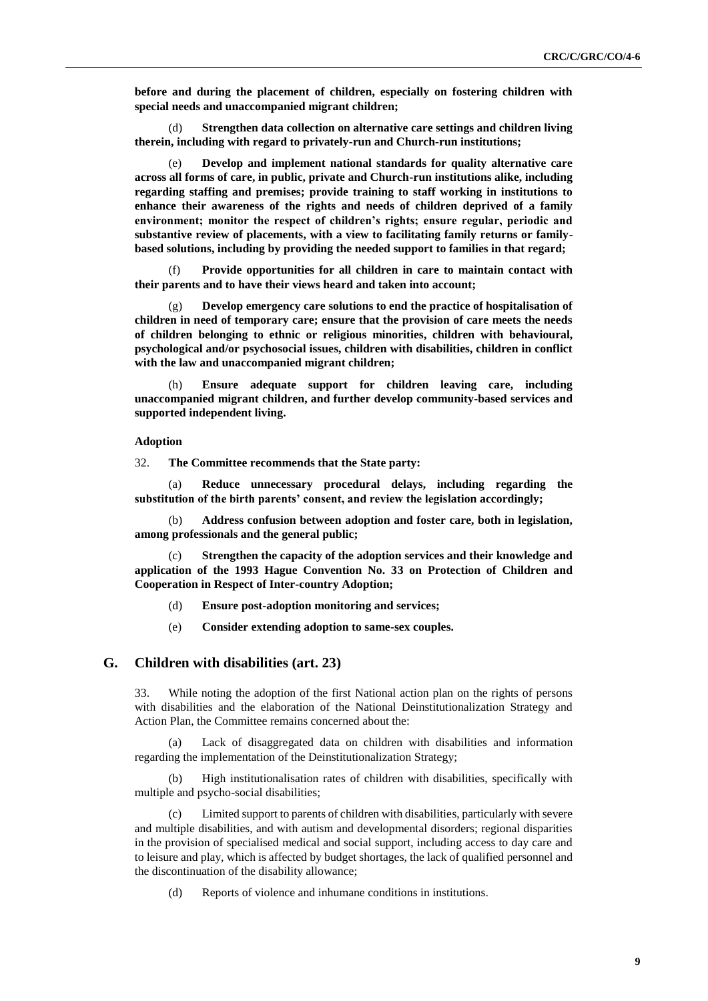**before and during the placement of children, especially on fostering children with special needs and unaccompanied migrant children;**

(d) **Strengthen data collection on alternative care settings and children living therein, including with regard to privately-run and Church-run institutions;**

(e) **Develop and implement national standards for quality alternative care across all forms of care, in public, private and Church-run institutions alike, including regarding staffing and premises; provide training to staff working in institutions to enhance their awareness of the rights and needs of children deprived of a family environment; monitor the respect of children's rights; ensure regular, periodic and substantive review of placements, with a view to facilitating family returns or familybased solutions, including by providing the needed support to families in that regard;**

(f) **Provide opportunities for all children in care to maintain contact with their parents and to have their views heard and taken into account;**

Develop emergency care solutions to end the practice of hospitalisation of **children in need of temporary care; ensure that the provision of care meets the needs of children belonging to ethnic or religious minorities, children with behavioural, psychological and/or psychosocial issues, children with disabilities, children in conflict with the law and unaccompanied migrant children;**

(h) **Ensure adequate support for children leaving care, including unaccompanied migrant children, and further develop community-based services and supported independent living.**

#### **Adoption**

32. **The Committee recommends that the State party:**

(a) **Reduce unnecessary procedural delays, including regarding the substitution of the birth parents' consent, and review the legislation accordingly;**

(b) **Address confusion between adoption and foster care, both in legislation, among professionals and the general public;**

Strengthen the capacity of the adoption services and their knowledge and **application of the 1993 Hague Convention No. 33 on Protection of Children and Cooperation in Respect of Inter-country Adoption;**

- (d) **Ensure post-adoption monitoring and services;**
- (e) **Consider extending adoption to same-sex couples.**

## **G. Children with disabilities (art. 23)**

33. While noting the adoption of the first National action plan on the rights of persons with disabilities and the elaboration of the National Deinstitutionalization Strategy and Action Plan, the Committee remains concerned about the:

(a) Lack of disaggregated data on children with disabilities and information regarding the implementation of the Deinstitutionalization Strategy;

(b) High institutionalisation rates of children with disabilities, specifically with multiple and psycho-social disabilities;

(c) Limited support to parents of children with disabilities, particularly with severe and multiple disabilities, and with autism and developmental disorders; regional disparities in the provision of specialised medical and social support, including access to day care and to leisure and play, which is affected by budget shortages, the lack of qualified personnel and the discontinuation of the disability allowance;

(d) Reports of violence and inhumane conditions in institutions.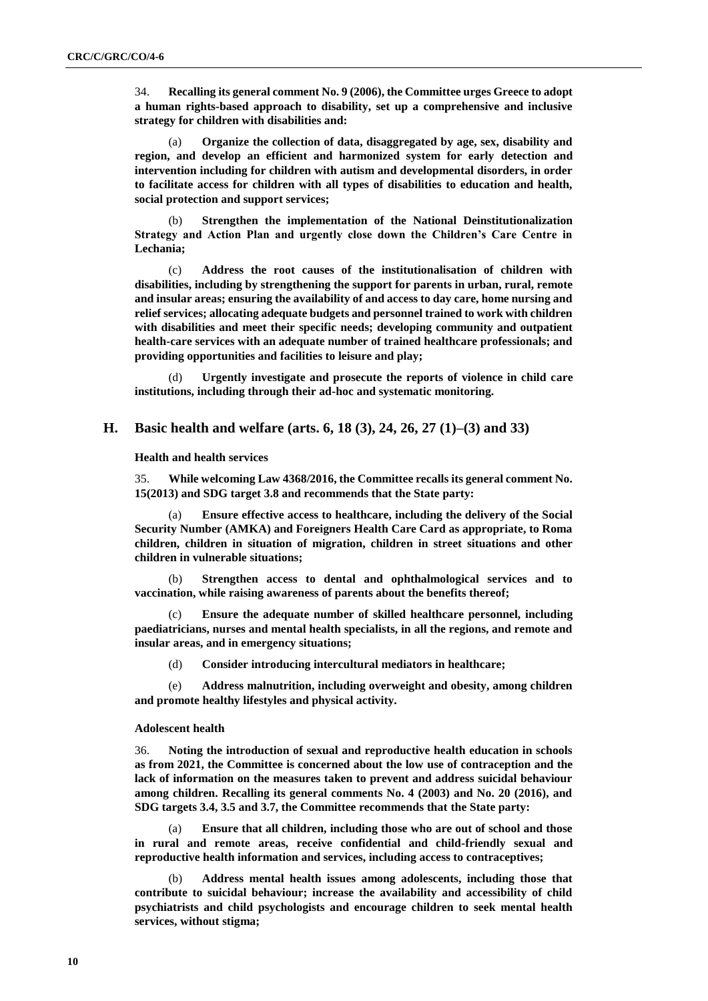34. **Recalling its general comment No. 9 (2006), the Committee urges Greece to adopt a human rights-based approach to disability, set up a comprehensive and inclusive strategy for children with disabilities and:**

(a) **Organize the collection of data, disaggregated by age, sex, disability and region, and develop an efficient and harmonized system for early detection and intervention including for children with autism and developmental disorders, in order to facilitate access for children with all types of disabilities to education and health, social protection and support services;**

(b) **Strengthen the implementation of the National Deinstitutionalization Strategy and Action Plan and urgently close down the Children's Care Centre in Lechania;**

(c) **Address the root causes of the institutionalisation of children with disabilities, including by strengthening the support for parents in urban, rural, remote and insular areas; ensuring the availability of and access to day care, home nursing and relief services; allocating adequate budgets and personnel trained to work with children with disabilities and meet their specific needs; developing community and outpatient health-care services with an adequate number of trained healthcare professionals; and providing opportunities and facilities to leisure and play;**

(d) **Urgently investigate and prosecute the reports of violence in child care institutions, including through their ad-hoc and systematic monitoring.**

## **H. Basic health and welfare (arts. 6, 18 (3), 24, 26, 27 (1)–(3) and 33)**

**Health and health services**

35. **While welcoming Law 4368/2016, the Committee recalls its general comment No. 15(2013) and SDG target 3.8 and recommends that the State party:**

(a) **Ensure effective access to healthcare, including the delivery of the Social Security Number (AMKA) and Foreigners Health Care Card as appropriate, to Roma children, children in situation of migration, children in street situations and other children in vulnerable situations;**

(b) **Strengthen access to dental and ophthalmological services and to vaccination, while raising awareness of parents about the benefits thereof;**

(c) **Ensure the adequate number of skilled healthcare personnel, including paediatricians, nurses and mental health specialists, in all the regions, and remote and insular areas, and in emergency situations;**

(d) **Consider introducing intercultural mediators in healthcare;**

(e) **Address malnutrition, including overweight and obesity, among children and promote healthy lifestyles and physical activity.**

#### **Adolescent health**

36. **Noting the introduction of sexual and reproductive health education in schools as from 2021, the Committee is concerned about the low use of contraception and the lack of information on the measures taken to prevent and address suicidal behaviour among children. Recalling its general comments No. 4 (2003) and No. 20 (2016), and SDG targets 3.4, 3.5 and 3.7, the Committee recommends that the State party:**

(a) **Ensure that all children, including those who are out of school and those in rural and remote areas, receive confidential and child-friendly sexual and reproductive health information and services, including access to contraceptives;**

(b) **Address mental health issues among adolescents, including those that contribute to suicidal behaviour; increase the availability and accessibility of child psychiatrists and child psychologists and encourage children to seek mental health services, without stigma;**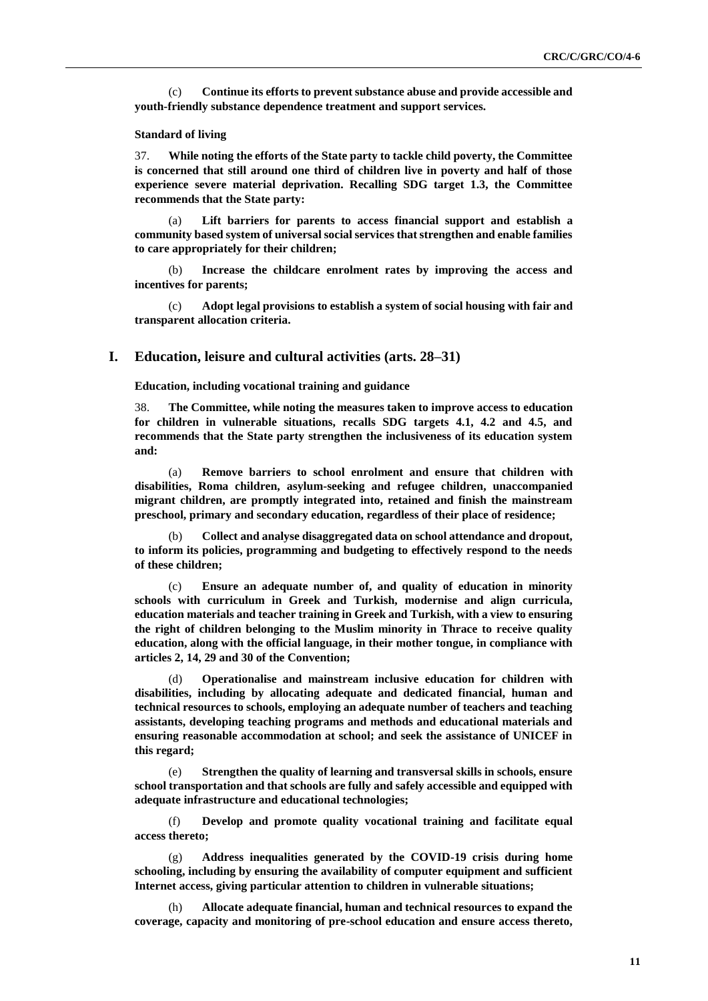(c) **Continue its efforts to prevent substance abuse and provide accessible and youth-friendly substance dependence treatment and support services.**

#### **Standard of living**

37. **While noting the efforts of the State party to tackle child poverty, the Committee is concerned that still around one third of children live in poverty and half of those experience severe material deprivation. Recalling SDG target 1.3, the Committee recommends that the State party:**

(a) **Lift barriers for parents to access financial support and establish a community based system of universal social services that strengthen and enable families to care appropriately for their children;**

(b) **Increase the childcare enrolment rates by improving the access and incentives for parents;**

(c) **Adopt legal provisions to establish a system of social housing with fair and transparent allocation criteria.**

#### **I. Education, leisure and cultural activities (arts. 28–31)**

**Education, including vocational training and guidance**

38. **The Committee, while noting the measures taken to improve access to education for children in vulnerable situations, recalls SDG targets 4.1, 4.2 and 4.5, and recommends that the State party strengthen the inclusiveness of its education system and:**

(a) **Remove barriers to school enrolment and ensure that children with disabilities, Roma children, asylum-seeking and refugee children, unaccompanied migrant children, are promptly integrated into, retained and finish the mainstream preschool, primary and secondary education, regardless of their place of residence;**

(b) **Collect and analyse disaggregated data on school attendance and dropout, to inform its policies, programming and budgeting to effectively respond to the needs of these children;**

Ensure an adequate number of, and quality of education in minority **schools with curriculum in Greek and Turkish, modernise and align curricula, education materials and teacher training in Greek and Turkish, with a view to ensuring the right of children belonging to the Muslim minority in Thrace to receive quality education, along with the official language, in their mother tongue, in compliance with articles 2, 14, 29 and 30 of the Convention;**

(d) **Operationalise and mainstream inclusive education for children with disabilities, including by allocating adequate and dedicated financial, human and technical resources to schools, employing an adequate number of teachers and teaching assistants, developing teaching programs and methods and educational materials and ensuring reasonable accommodation at school; and seek the assistance of UNICEF in this regard;**

(e) **Strengthen the quality of learning and transversal skills in schools, ensure school transportation and that schools are fully and safely accessible and equipped with adequate infrastructure and educational technologies;**

(f) **Develop and promote quality vocational training and facilitate equal access thereto;**

(g) **Address inequalities generated by the COVID-19 crisis during home schooling, including by ensuring the availability of computer equipment and sufficient Internet access, giving particular attention to children in vulnerable situations;**

(h) **Allocate adequate financial, human and technical resources to expand the coverage, capacity and monitoring of pre-school education and ensure access thereto,**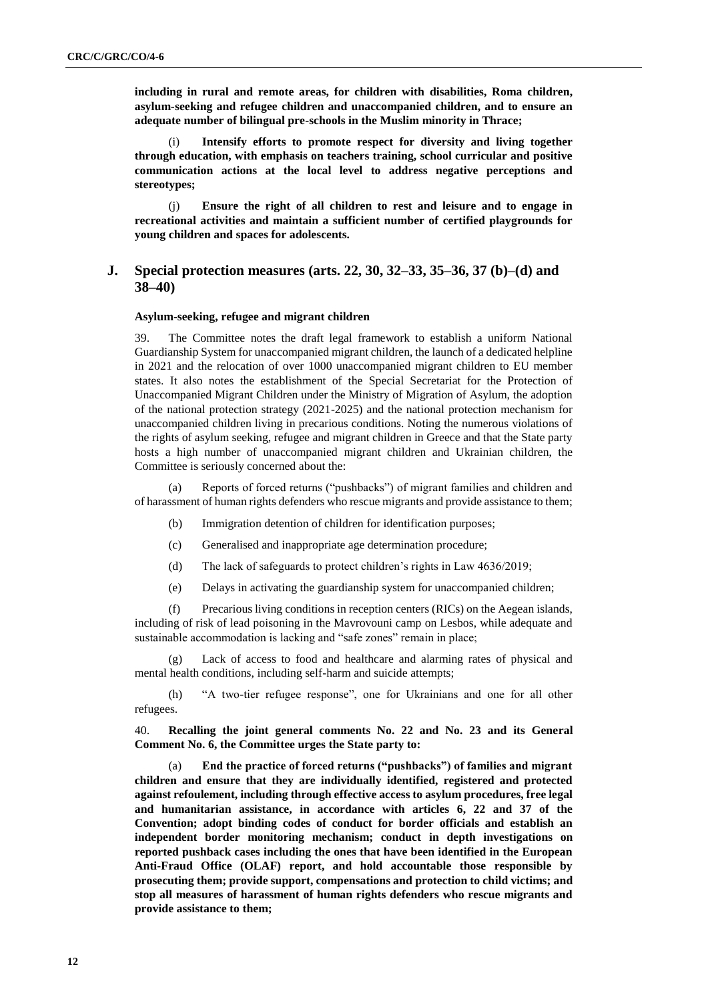**including in rural and remote areas, for children with disabilities, Roma children, asylum-seeking and refugee children and unaccompanied children, and to ensure an adequate number of bilingual pre-schools in the Muslim minority in Thrace;**

(i) **Intensify efforts to promote respect for diversity and living together through education, with emphasis on teachers training, school curricular and positive communication actions at the local level to address negative perceptions and stereotypes;**

(j) **Ensure the right of all children to rest and leisure and to engage in recreational activities and maintain a sufficient number of certified playgrounds for young children and spaces for adolescents.**

## **J. Special protection measures (arts. 22, 30, 32–33, 35–36, 37 (b)–(d) and 38–40)**

#### **Asylum-seeking, refugee and migrant children**

39. The Committee notes the draft legal framework to establish a uniform National Guardianship System for unaccompanied migrant children, the launch of a dedicated helpline in 2021 and the relocation of over 1000 unaccompanied migrant children to EU member states. It also notes the establishment of the Special Secretariat for the Protection of Unaccompanied Migrant Children under the Ministry of Migration of Asylum, the adoption of the national protection strategy (2021-2025) and the national protection mechanism for unaccompanied children living in precarious conditions. Noting the numerous violations of the rights of asylum seeking, refugee and migrant children in Greece and that the State party hosts a high number of unaccompanied migrant children and Ukrainian children, the Committee is seriously concerned about the:

(a) Reports of forced returns ("pushbacks") of migrant families and children and of harassment of human rights defenders who rescue migrants and provide assistance to them;

- (b) Immigration detention of children for identification purposes;
- (c) Generalised and inappropriate age determination procedure;
- (d) The lack of safeguards to protect children's rights in Law 4636/2019;
- (e) Delays in activating the guardianship system for unaccompanied children;

(f) Precarious living conditions in reception centers (RICs) on the Aegean islands, including of risk of lead poisoning in the Mavrovouni camp on Lesbos, while adequate and sustainable accommodation is lacking and "safe zones" remain in place;

Lack of access to food and healthcare and alarming rates of physical and mental health conditions, including self-harm and suicide attempts;

(h) "A two-tier refugee response", one for Ukrainians and one for all other refugees.

40. **Recalling the joint general comments No. 22 and No. 23 and its General Comment No. 6, the Committee urges the State party to:**

End the practice of forced returns ("pushbacks") of families and migrant **children and ensure that they are individually identified, registered and protected against refoulement, including through effective access to asylum procedures, free legal and humanitarian assistance, in accordance with articles 6, 22 and 37 of the Convention; adopt binding codes of conduct for border officials and establish an independent border monitoring mechanism; conduct in depth investigations on reported pushback cases including the ones that have been identified in the European Anti-Fraud Office (OLAF) report, and hold accountable those responsible by prosecuting them; provide support, compensations and protection to child victims; and stop all measures of harassment of human rights defenders who rescue migrants and provide assistance to them;**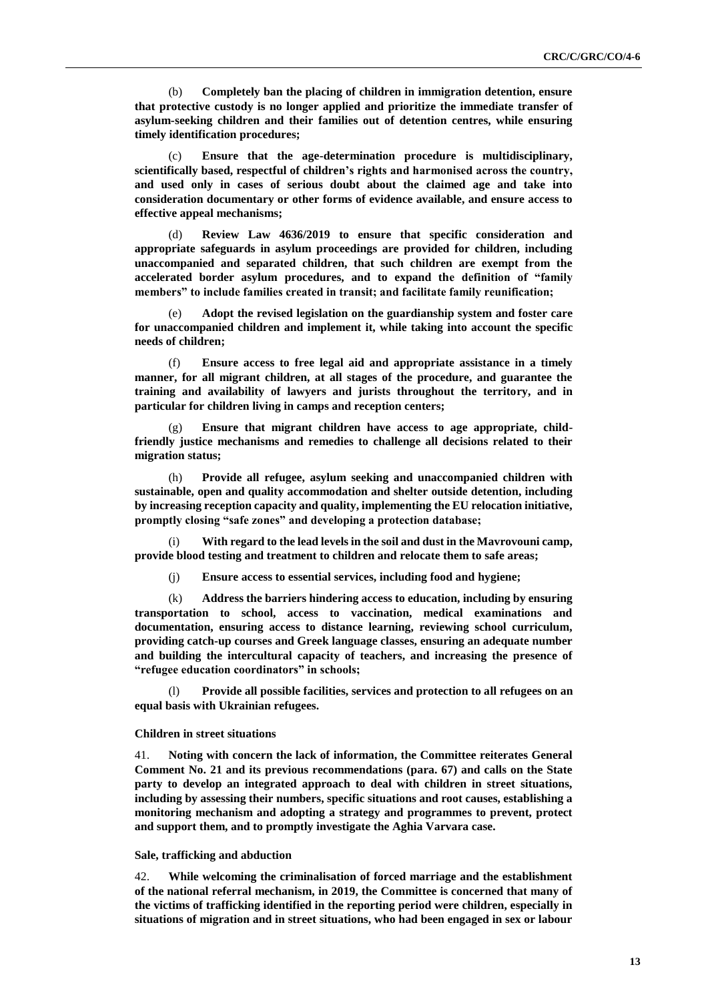(b) **Completely ban the placing of children in immigration detention, ensure that protective custody is no longer applied and prioritize the immediate transfer of asylum-seeking children and their families out of detention centres, while ensuring timely identification procedures;**

(c) **Ensure that the age-determination procedure is multidisciplinary, scientifically based, respectful of children's rights and harmonised across the country, and used only in cases of serious doubt about the claimed age and take into consideration documentary or other forms of evidence available, and ensure access to effective appeal mechanisms;**

(d) **Review Law 4636/2019 to ensure that specific consideration and appropriate safeguards in asylum proceedings are provided for children, including unaccompanied and separated children, that such children are exempt from the accelerated border asylum procedures, and to expand the definition of "family members" to include families created in transit; and facilitate family reunification;**

Adopt the revised legislation on the guardianship system and foster care **for unaccompanied children and implement it, while taking into account the specific needs of children;**

(f) **Ensure access to free legal aid and appropriate assistance in a timely manner, for all migrant children, at all stages of the procedure, and guarantee the training and availability of lawyers and jurists throughout the territory, and in particular for children living in camps and reception centers;**

(g) **Ensure that migrant children have access to age appropriate, childfriendly justice mechanisms and remedies to challenge all decisions related to their migration status;**

(h) **Provide all refugee, asylum seeking and unaccompanied children with sustainable, open and quality accommodation and shelter outside detention, including by increasing reception capacity and quality, implementing the EU relocation initiative, promptly closing "safe zones" and developing a protection database;**

(i) **With regard to the lead levels in the soil and dust in the Mavrovouni camp, provide blood testing and treatment to children and relocate them to safe areas;**

(j) **Ensure access to essential services, including food and hygiene;**

(k) **Address the barriers hindering access to education, including by ensuring transportation to school, access to vaccination, medical examinations and documentation, ensuring access to distance learning, reviewing school curriculum, providing catch-up courses and Greek language classes, ensuring an adequate number and building the intercultural capacity of teachers, and increasing the presence of "refugee education coordinators" in schools;**

(l) **Provide all possible facilities, services and protection to all refugees on an equal basis with Ukrainian refugees.**

#### **Children in street situations**

41. **Noting with concern the lack of information, the Committee reiterates General Comment No. 21 and its previous recommendations (para. 67) and calls on the State party to develop an integrated approach to deal with children in street situations, including by assessing their numbers, specific situations and root causes, establishing a monitoring mechanism and adopting a strategy and programmes to prevent, protect and support them, and to promptly investigate the Aghia Varvara case.**

#### **Sale, trafficking and abduction**

42. **While welcoming the criminalisation of forced marriage and the establishment of the national referral mechanism, in 2019, the Committee is concerned that many of the victims of trafficking identified in the reporting period were children, especially in situations of migration and in street situations, who had been engaged in sex or labour**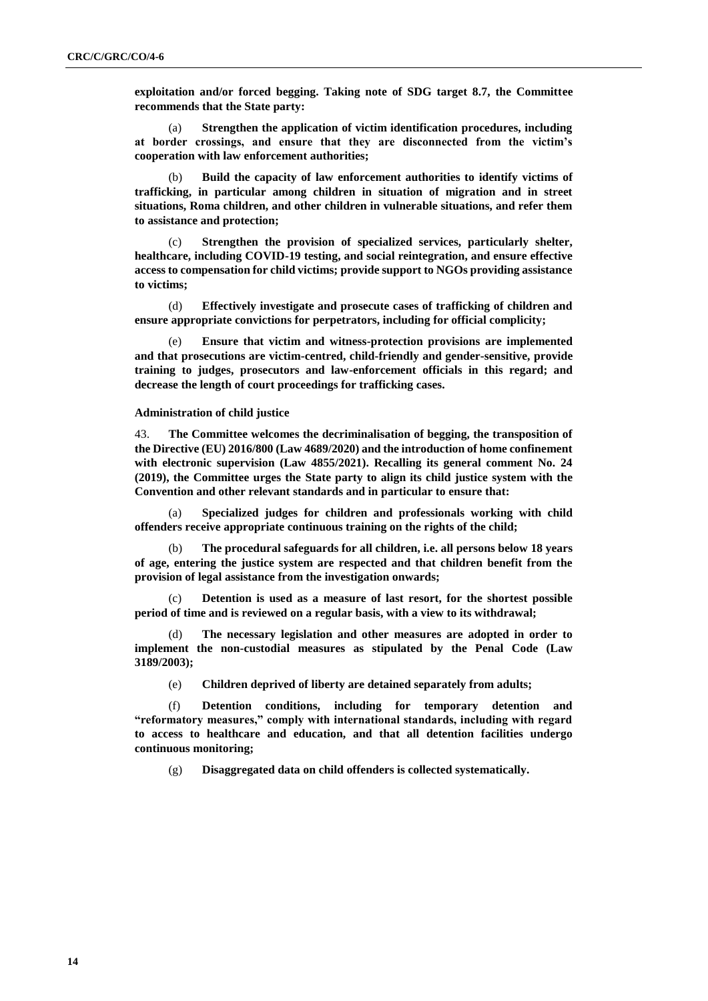**exploitation and/or forced begging. Taking note of SDG target 8.7, the Committee recommends that the State party:**

(a) **Strengthen the application of victim identification procedures, including at border crossings, and ensure that they are disconnected from the victim's cooperation with law enforcement authorities;**

(b) **Build the capacity of law enforcement authorities to identify victims of trafficking, in particular among children in situation of migration and in street situations, Roma children, and other children in vulnerable situations, and refer them to assistance and protection;**

(c) **Strengthen the provision of specialized services, particularly shelter, healthcare, including COVID-19 testing, and social reintegration, and ensure effective access to compensation for child victims; provide support to NGOs providing assistance to victims;**

(d) **Effectively investigate and prosecute cases of trafficking of children and ensure appropriate convictions for perpetrators, including for official complicity;**

(e) **Ensure that victim and witness-protection provisions are implemented and that prosecutions are victim-centred, child-friendly and gender-sensitive, provide training to judges, prosecutors and law-enforcement officials in this regard; and decrease the length of court proceedings for trafficking cases.**

#### **Administration of child justice**

43. **The Committee welcomes the decriminalisation of begging, the transposition of the Directive (EU) 2016/800 (Law 4689/2020) and the introduction of home confinement with electronic supervision (Law 4855/2021). Recalling its general comment No. 24 (2019), the Committee urges the State party to align its child justice system with the Convention and other relevant standards and in particular to ensure that:**

(a) **Specialized judges for children and professionals working with child offenders receive appropriate continuous training on the rights of the child;**

(b) **The procedural safeguards for all children, i.e. all persons below 18 years of age, entering the justice system are respected and that children benefit from the provision of legal assistance from the investigation onwards;**

(c) **Detention is used as a measure of last resort, for the shortest possible period of time and is reviewed on a regular basis, with a view to its withdrawal;**

(d) **The necessary legislation and other measures are adopted in order to implement the non-custodial measures as stipulated by the Penal Code (Law 3189/2003);**

(e) **Children deprived of liberty are detained separately from adults;**

(f) **Detention conditions, including for temporary detention and "reformatory measures," comply with international standards, including with regard to access to healthcare and education, and that all detention facilities undergo continuous monitoring;**

(g) **Disaggregated data on child offenders is collected systematically.**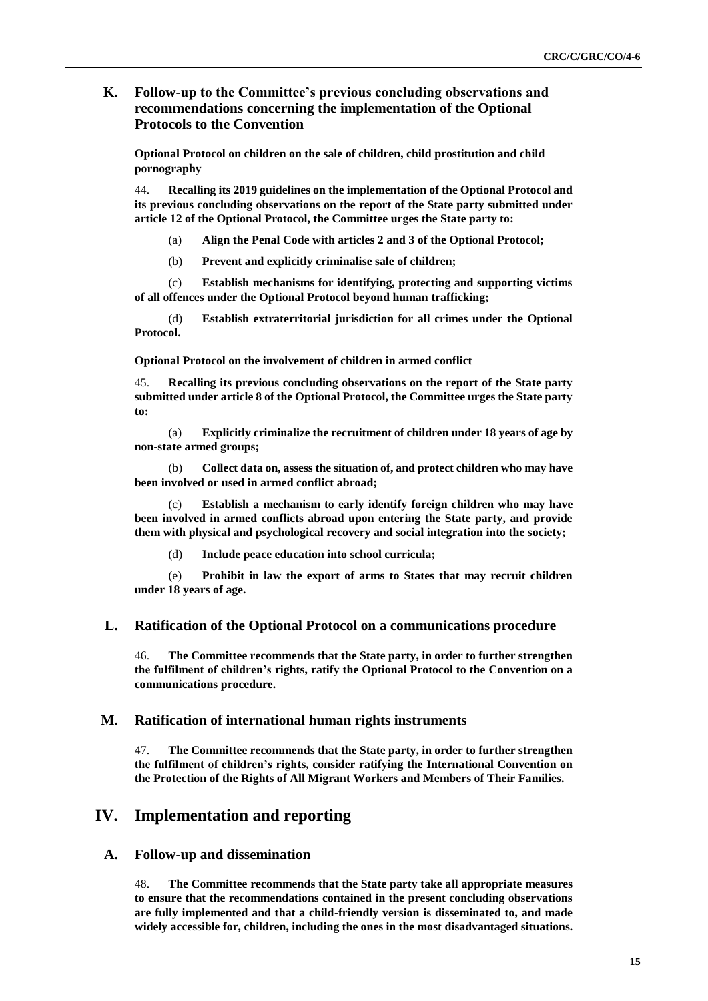## **K. Follow-up to the Committee's previous concluding observations and recommendations concerning the implementation of the Optional Protocols to the Convention**

**Optional Protocol on children on the sale of children, child prostitution and child pornography**

44. **Recalling its 2019 guidelines on the implementation of the Optional Protocol and its previous concluding observations on the report of the State party submitted under article 12 of the Optional Protocol, the Committee urges the State party to:**

(a) **Align the Penal Code with articles 2 and 3 of the Optional Protocol;**

(b) **Prevent and explicitly criminalise sale of children;**

(c) **Establish mechanisms for identifying, protecting and supporting victims of all offences under the Optional Protocol beyond human trafficking;**

(d) **Establish extraterritorial jurisdiction for all crimes under the Optional Protocol.**

**Optional Protocol on the involvement of children in armed conflict**

45. **Recalling its previous concluding observations on the report of the State party submitted under article 8 of the Optional Protocol, the Committee urges the State party to:**

(a) **Explicitly criminalize the recruitment of children under 18 years of age by non-state armed groups;**

(b) **Collect data on, assess the situation of, and protect children who may have been involved or used in armed conflict abroad;**

Establish a mechanism to early identify foreign children who may have **been involved in armed conflicts abroad upon entering the State party, and provide them with physical and psychological recovery and social integration into the society;**

(d) **Include peace education into school curricula;**

(e) **Prohibit in law the export of arms to States that may recruit children under 18 years of age.**

#### **L. Ratification of the Optional Protocol on a communications procedure**

46. **The Committee recommends that the State party, in order to further strengthen the fulfilment of children's rights, ratify the Optional Protocol to the Convention on a communications procedure.**

### **M. Ratification of international human rights instruments**

47. **The Committee recommends that the State party, in order to further strengthen the fulfilment of children's rights, consider ratifying the International Convention on the Protection of the Rights of All Migrant Workers and Members of Their Families.**

## **IV. Implementation and reporting**

## **A. Follow-up and dissemination**

48. **The Committee recommends that the State party take all appropriate measures to ensure that the recommendations contained in the present concluding observations are fully implemented and that a child-friendly version is disseminated to, and made widely accessible for, children, including the ones in the most disadvantaged situations.**